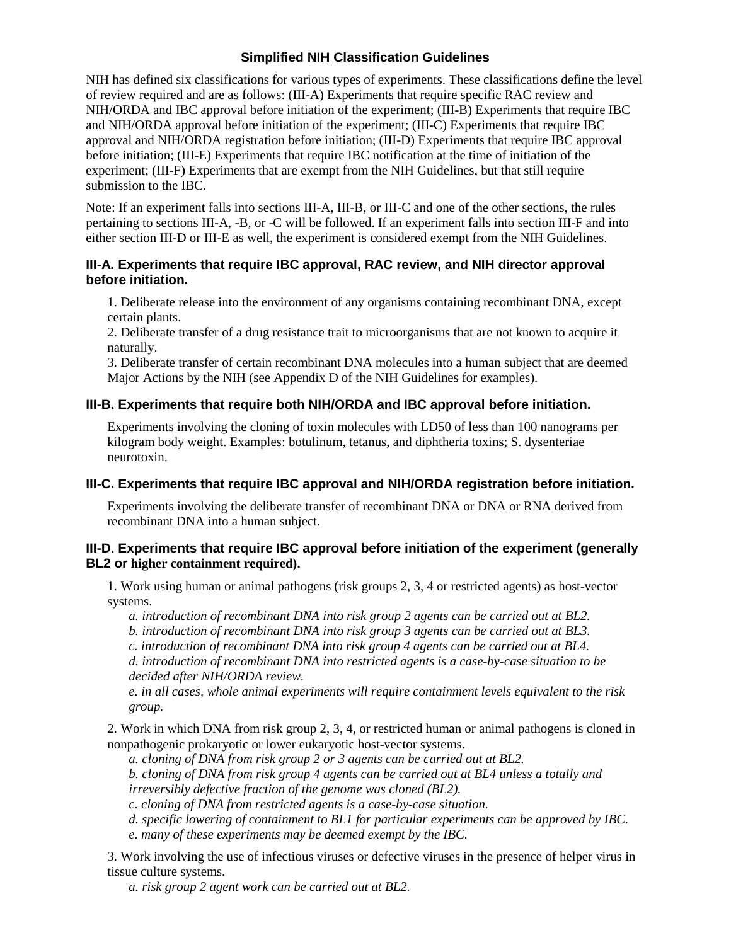# **Simplified NIH Classification Guidelines**

NIH has defined six classifications for various types of experiments. These classifications define the level of review required and are as follows: (III-A) Experiments that require specific RAC review and NIH/ORDA and IBC approval before initiation of the experiment; (III-B) Experiments that require IBC and NIH/ORDA approval before initiation of the experiment; (III-C) Experiments that require IBC approval and NIH/ORDA registration before initiation; (III-D) Experiments that require IBC approval before initiation; (III-E) Experiments that require IBC notification at the time of initiation of the experiment; (III-F) Experiments that are exempt from the NIH Guidelines, but that still require submission to the IBC.

Note: If an experiment falls into sections III-A, III-B, or III-C and one of the other sections, the rules pertaining to sections III-A, -B, or -C will be followed. If an experiment falls into section III-F and into either section III-D or III-E as well, the experiment is considered exempt from the NIH Guidelines.

### **III-A. Experiments that require IBC approval, RAC review, and NIH director approval before initiation.**

1. Deliberate release into the environment of any organisms containing recombinant DNA, except certain plants.

2. Deliberate transfer of a drug resistance trait to microorganisms that are not known to acquire it naturally.

3. Deliberate transfer of certain recombinant DNA molecules into a human subject that are deemed Major Actions by the NIH (see Appendix D of the NIH Guidelines for examples).

### **III-B. Experiments that require both NIH/ORDA and IBC approval before initiation.**

Experiments involving the cloning of toxin molecules with LD50 of less than 100 nanograms per kilogram body weight. Examples: botulinum, tetanus, and diphtheria toxins; S. dysenteriae neurotoxin.

#### **III-C. Experiments that require IBC approval and NIH/ORDA registration before initiation.**

Experiments involving the deliberate transfer of recombinant DNA or DNA or RNA derived from recombinant DNA into a human subject.

#### **III-D. Experiments that require IBC approval before initiation of the experiment (generally BL2 or higher containment required).**

1. Work using human or animal pathogens (risk groups 2, 3, 4 or restricted agents) as host-vector systems.

*a. introduction of recombinant DNA into risk group 2 agents can be carried out at BL2.*

*b. introduction of recombinant DNA into risk group 3 agents can be carried out at BL3.*

*c. introduction of recombinant DNA into risk group 4 agents can be carried out at BL4.*

*d. introduction of recombinant DNA into restricted agents is a case-by-case situation to be decided after NIH/ORDA review.*

*e. in all cases, whole animal experiments will require containment levels equivalent to the risk group.*

2. Work in which DNA from risk group 2, 3, 4, or restricted human or animal pathogens is cloned in nonpathogenic prokaryotic or lower eukaryotic host-vector systems.

*a. cloning of DNA from risk group 2 or 3 agents can be carried out at BL2.*

*b. cloning of DNA from risk group 4 agents can be carried out at BL4 unless a totally and irreversibly defective fraction of the genome was cloned (BL2).*

*c. cloning of DNA from restricted agents is a case-by-case situation.*

*d. specific lowering of containment to BL1 for particular experiments can be approved by IBC.*

*e. many of these experiments may be deemed exempt by the IBC.*

3. Work involving the use of infectious viruses or defective viruses in the presence of helper virus in tissue culture systems.

*a. risk group 2 agent work can be carried out at BL2.*